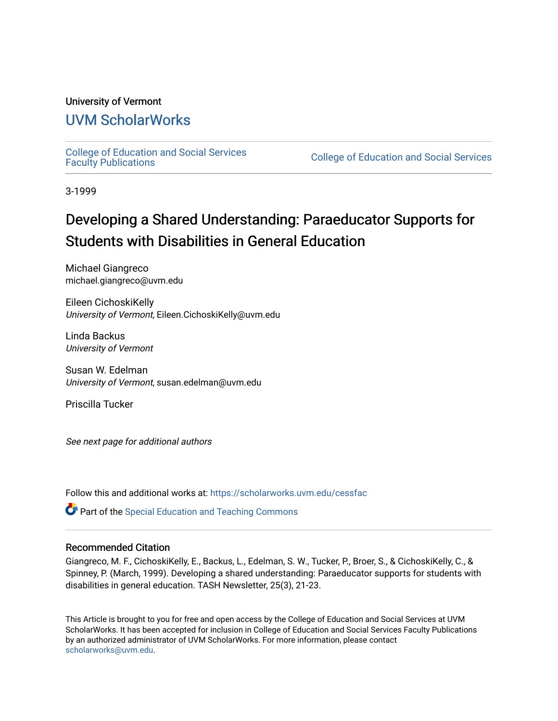#### University of Vermont

## [UVM ScholarWorks](https://scholarworks.uvm.edu/)

[College of Education and Social Services](https://scholarworks.uvm.edu/cessfac) 

College of Education and Social Services

3-1999

# Developing a Shared Understanding: Paraeducator Supports for Students with Disabilities in General Education

Michael Giangreco michael.giangreco@uvm.edu

Eileen CichoskiKelly University of Vermont, Eileen.CichoskiKelly@uvm.edu

Linda Backus University of Vermont

Susan W. Edelman University of Vermont, susan.edelman@uvm.edu

Priscilla Tucker

See next page for additional authors

Follow this and additional works at: [https://scholarworks.uvm.edu/cessfac](https://scholarworks.uvm.edu/cessfac?utm_source=scholarworks.uvm.edu%2Fcessfac%2F17&utm_medium=PDF&utm_campaign=PDFCoverPages) 

**C** Part of the Special Education and Teaching Commons

#### Recommended Citation

Giangreco, M. F., CichoskiKelly, E., Backus, L., Edelman, S. W., Tucker, P., Broer, S., & CichoskiKelly, C., & Spinney, P. (March, 1999). Developing a shared understanding: Paraeducator supports for students with disabilities in general education. TASH Newsletter, 25(3), 21-23.

This Article is brought to you for free and open access by the College of Education and Social Services at UVM ScholarWorks. It has been accepted for inclusion in College of Education and Social Services Faculty Publications by an authorized administrator of UVM ScholarWorks. For more information, please contact [scholarworks@uvm.edu](mailto:scholarworks@uvm.edu).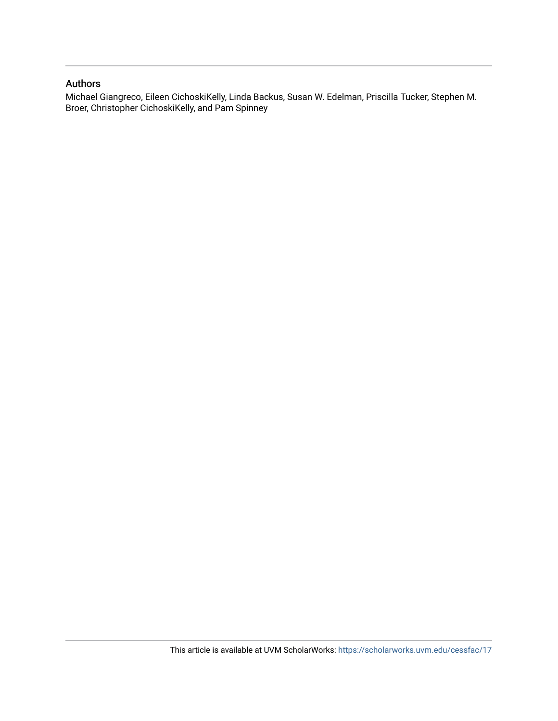#### Authors

Michael Giangreco, Eileen CichoskiKelly, Linda Backus, Susan W. Edelman, Priscilla Tucker, Stephen M. Broer, Christopher CichoskiKelly, and Pam Spinney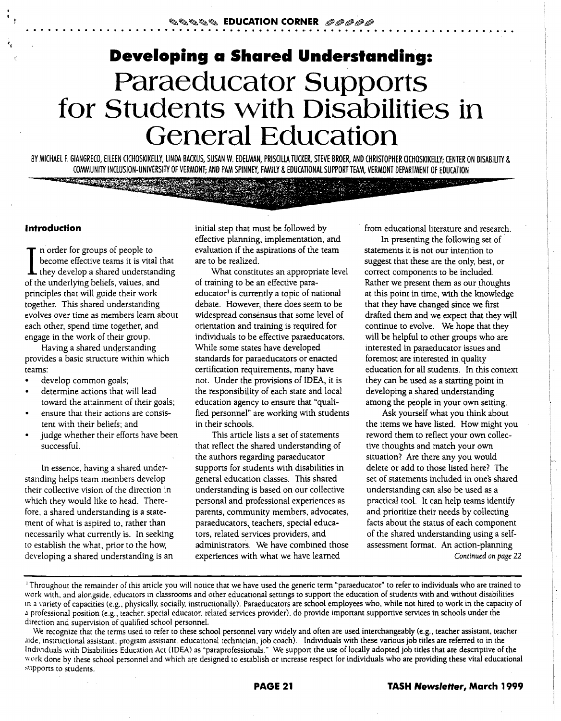# **Developing a Shared Understanding: Paraeducator Supports for Students with Disabilities in General Education**

BY MICHAEL F. GIANGRECO, EILEEN CICHOSKIKELLY, LINDA BACKUS, SUSAN W. EDELMAN, PRISCILLA TUCKER, STEVE BROER, AND CHRISTOPHER CICHOSKIKELLY; CENTER ON DISABILITY & COMMUNITY INCLUSION-UNIVERSITY OF VERMONT; AND PAM SPINNEY, FAMILY & EDUCATIONAL SUPPORT TEAM, VERMONT DEPARTMENT OF EDUCATION

#### **Introduction**

I n order for groups of people to<br>become effective teams it is vital that<br>they develop a shared understanding<br>file underliefs unluse and become effective teams it is vital that of the underlying beliefs, values, and principles that will guide their work together. This shared understanding evolves over time as members learn about each other, spend time together, and engage in the work of their group.

**STRUCTURE IN ACCEPT** 

Having a shared understanding provides a basic structure within which teams:

- develop common goals;
- determine actions that will lead toward the attainment of their goals;
- ensure that their actions are consistent with their beliefs; and
- judge whether their efforts have been successful.

In essence, having a shared understanding helps team members develop their collective vision of the direction in which they would like to head. Therefore, a shared understanding is a statement of what is aspired to, rather than necessarily what currently is. In seeking to establish the what, prior to the how, developing a shared understanding is an

initial step that must be followed by effective planning, implementation, and evaluation if the aspirations of the team are to be realized.

What constitutes an appropriate level of training to be an effective paraeducator<sup>1</sup> is currently a topic of national debate. However, there does seem to be widespread consensus that some level of orientation and training is required for individuals to be effective paraeducators. While some states have developed standards for paraeducators or enacted certification requirements, many have not. Under the provisions of IDEA, it is the responsibility of each state and local education agency to ensure that "qualified personnel" are working with students in their schools.

This article lists a set of statements that reflect the shared understanding of the authors regarding paraeducator supports for students with disabilities in general education classes. This shared understanding is based on our collective personal and professional experiences as parents, community members. advocates, paraeducators, teachers, special educators, related services providers, and administrators. We have combined those experiences with what we have learned

from educational literature and research.

In presenting the following set of statements it is not our intention to suggest that these are the only, best, or correct components to be included. Rather we present them as our thoughts at this point in time, with the knowledge that they have changed since we first drafted them and we expect that they will continue to evolve. We hope that they will be helpful to other groups who are interested in paraeducator issues and foremost are interested in quality education for all students. In this context they can be used as a starting point in developing a shared understanding among the people in your own setting.

Ask yourself what you think about the items we have listed. How might you reword them to reflect your own collective thoughts and match your own situation? Are there any you would delete or add to those listed here? The set of statements included in one's shared understanding can also be used as a practical tool. It can help teams identify and prioritize their needs by collecting facts about the status of each component of the shared understanding using a selfassessment format. An action-planning *Continued on page* 22

<sup>&#</sup>x27;Throughout the remainder of this anicle you will notice that we have used the generic term "paraeducator" to refer to individuals who are trained to work with. and alongside. educators in classrooms and other educational settings to support the education of students with and without disabilities ma \"ariety of capacities (e.g., physically. socially, instructionally). Paraeducators are school employees who, while not hired to work in the capacity of J professional position (e.g., teacher. special educator, related services provider). do provide important supportive services in schools under the direction and supervision of qualified school personnel.

We recognize that the terms used to refer to these school personnel vary widely and often are used interchangeably (e.g., teacher assistant, teacher J1de, instructional assistant, program assistant, educational technician, job coach). Individuals with these various job titles are referred to in the <sup>In</sup>dividuals with Disabilities Education Act (IDEA) as "paraprofessionals." We support the use of locally adopted job titles that are descriptive of the work done by these school personnel and which are designed to establish or increase respect for individuals who are providing these vital educational supports to students.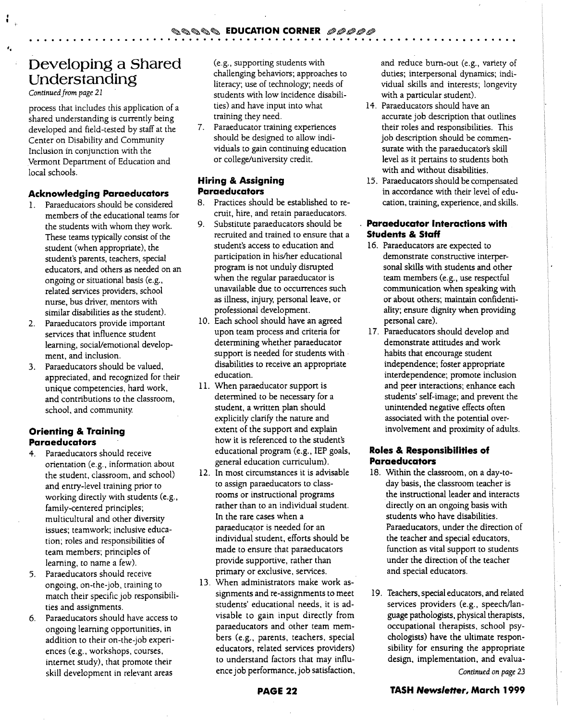# **Developing a Shared Understanding**

*Continued from page 21* 

"

process that includes this application of a shared understanding is currently being developed and field-tested by staff at the Center on Disability and Community Inclusion in conjunction with the Vermont Department of Education and local schools.

#### **Acknowledging Paraeducators**

- 1. Paraeducators should be considered members of the educational teams for the students with whom they work. These teams typically consist of the student (when appropriate), the student's parents, teachers, special educators, and others as needed on an ongoing or situational basis (e.g., related services providers, school nurse, bus driver, mentors with similar disabilities as the student).
- 2. Paraeducators provide important services that influence student learning, social/emotional development, and inclusion.
- 3. Paraeducators should be valued, appreciated, and recognized for their unique competencies, hard work, and contributions to the classroom, school, and community.

#### **Orienting & Training Para educators**

- 4. Paraeducators should receive orientation (e.g., information about the student, classroom, and school) and entry-level training prior to working directly with students (e.g., family-centered principles; multicultural and other diversity issues; teamwork; inclusive education; roles and responsibilities of team members; principles of learning, to name a few).
- 5. Paraeducators should receive ongoing, on-the-job, training to match their specific job responsibilities and assignments.
- 6. Paraeducators should have access to ongoing learning opportunities, in addition to their on-the-job experiences (e.g., workshops, courses, internet study), that promote their skill development in relevant areas

(e.g., supporting students with challenging behaviors; approaches to literacy; use of technology; needs of students with low incidence disabilities) and have input into what training they need.

7. Paraeducator training experiences should be designed to allow individuals to gain continuing education or college/university credit.

#### **Hiring & Assigning Paraeducators**

- 8. Practices should be established to recruit, hire, and retain paraeducators.
- 9. Substitute paraeducators should be recruited and trained to ensure that a student's access to education and participation in his/her educational program is not unduly disrupted when the regular paraeducator is unavailable due to occurrences such as illness, injury, personal leave, or professional development.
- 10. Each school should have an agreed upon team process and criteria for determining whether paraeducator support is needed for students with . disabilities to receive an appropriate education.
- 11. When paraeducator support is determined to be necessary for a student, a written plan should explicitly clarify the nature and extent of the support and explain how it is referenced to the student's educational program (e.g., IEP goals, general education curriculum).
- 12. In most circumstances it is advisable to assign paraeducators to classrooms or instructional programs rather than to an individual student. In the rare cases when a paraeducator is needed for an individual student, efforts should be made to ensure that paraeducators provide supportive, rather than primary or exclusive, services.
- 13. When administrators make work assignments and re-assignments to meet students' educational needs, it is advisable to gain input directly from paraeducators and other team members (e.g., parents, teachers, special educators, related services providers) to understand factors that may influence job performance, job satisfaction,

and reduce burn-out (e.g., variety of duties; interpersonal dynamics; individual skills and interests; longevity with a particular student).

- 14. Paraeducators should have an accurate job description that outlines their roles and responsibilities. This job description should be commensurate with the paraeducator's skill level as it pertains to students both with and without disabilities.
- 15. Paraeducators should be compensated in accordance with their level of education, training, experience, and skills.

#### **Paraeducator Interactions with Students & Staff**

- 16. Paraeducators are expected to demonstrate constructive interpersonal skills with students and other team members (e.g., use respectful communication when speaking with or about others; maintain confidentiality; ensure dignity when providing personal care).
- 17. Paraeducators should develop and demonstrate attitudes and work habits that encourage student independence; foster appropriate interdependence; promote inclusion and peer interactions; enhance each students' self-image; and prevent the unintended negative effects often associated with the potential overinvolvement and proximity of adults.

#### **Roles & Responsibilities of Paraeducators**

- 18. Within the classroom, on a day-today basis, the classroom teacher is the instructional leader and interacts directly on an ongoing basis with students who have disabilities. Paraeducators, under the direction of the teacher and special educators, function as vital support to students under the direction of the teacher and special educators.
- 19. Teachers, special educators, and related services providers (e.g., speech/language pathologists, physical therapists, occupational therapists, school psychologists) have the ultimate responsibility for ensuring the appropriate design, implementation, and evalua-*Continued on page 23*

### **TASH Newsletter, March 1999**